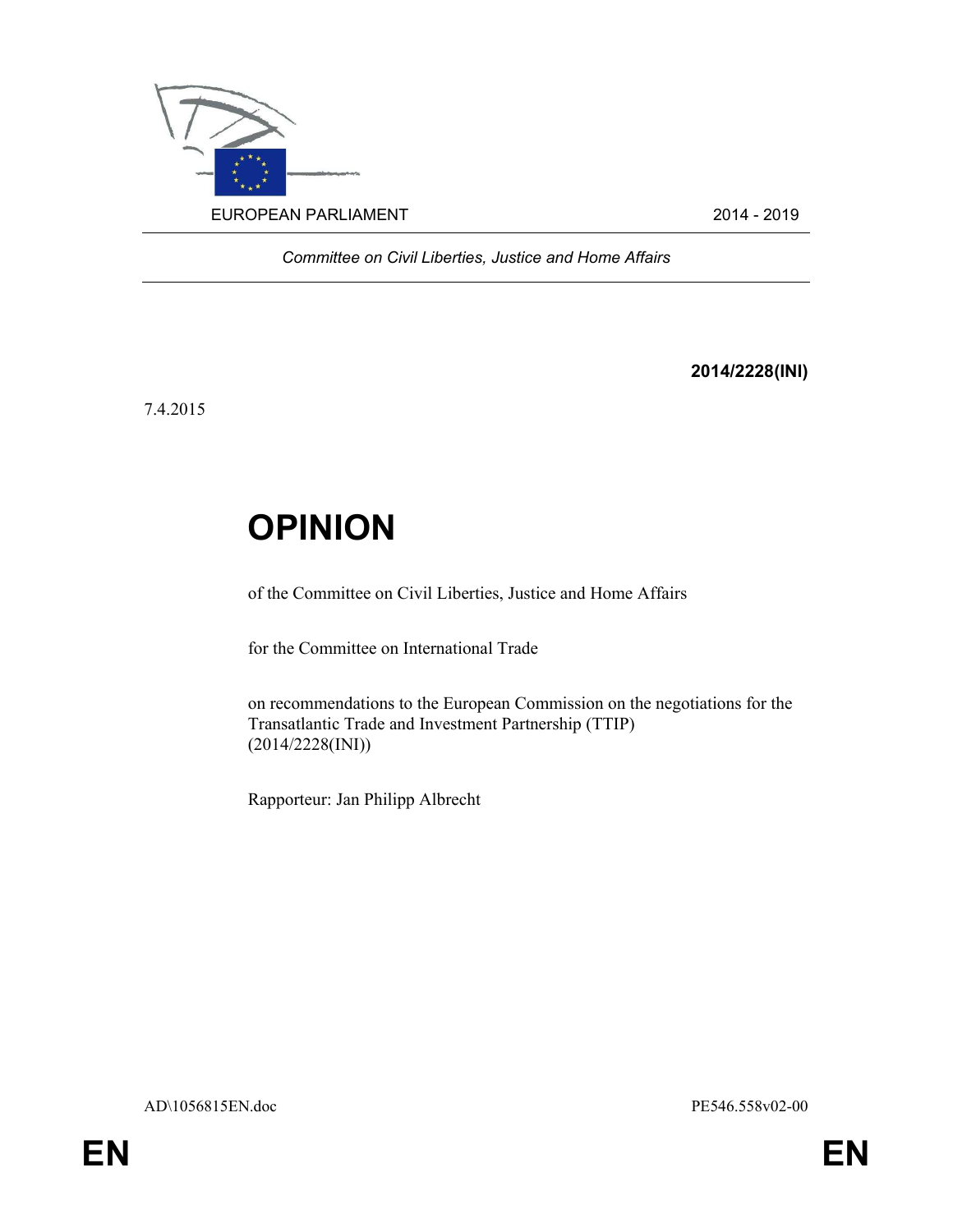

Committee on Civil Liberties, Justice and Home Affairs

2014/2228(INI)

7.4.2015

## **OPINION**

of the Committee on Civil Liberties, Justice and Home Affairs

for the Committee on International Trade

on recommendations to the European Commission on the negotiations for the Transatlantic Trade and Investment Partnership (TTIP) (2014/2228(INI))

Rapporteur: Jan Philipp Albrecht

AD\1056815EN.doc PE546.558v02-00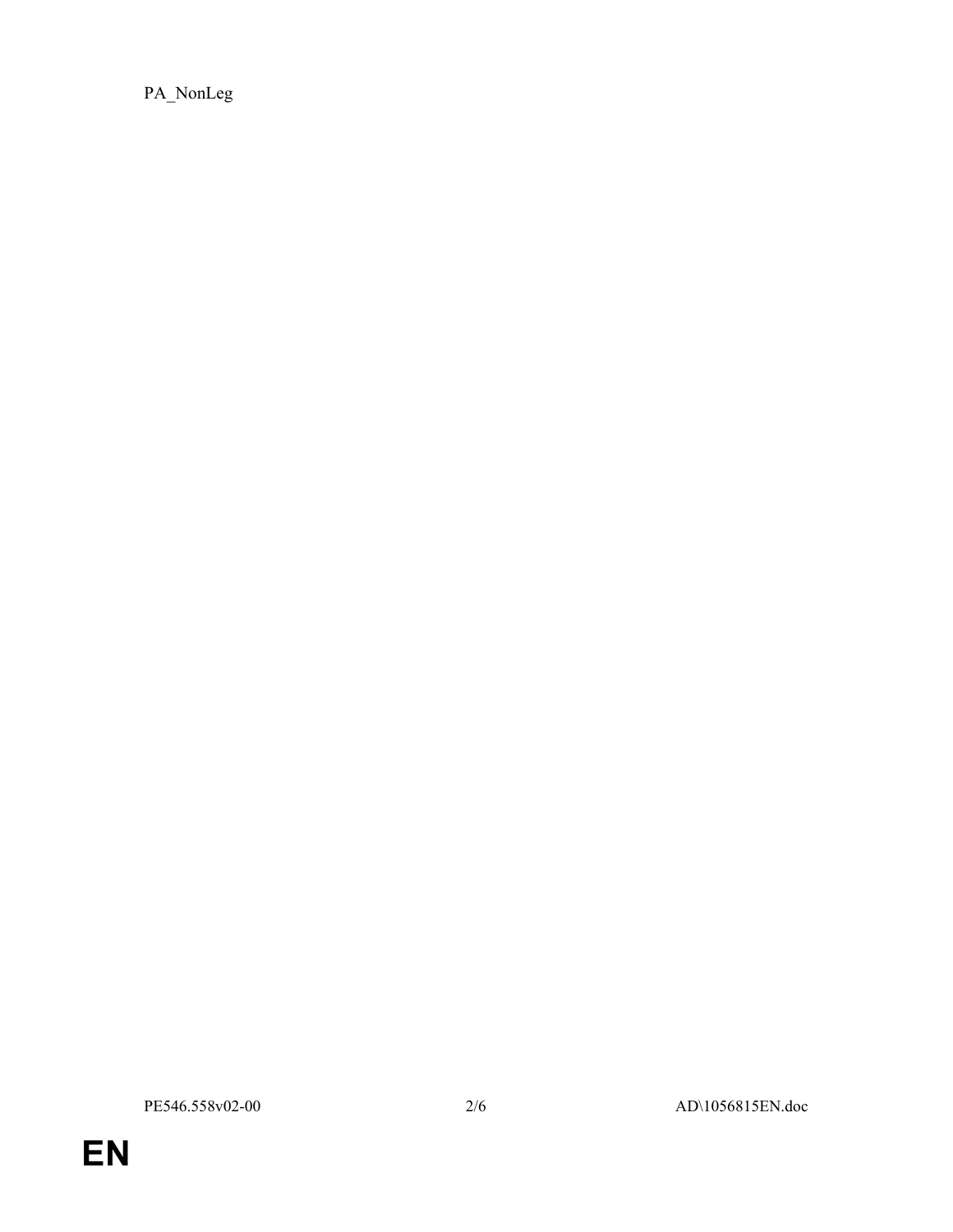PA\_NonLeg

PE546.558v02-00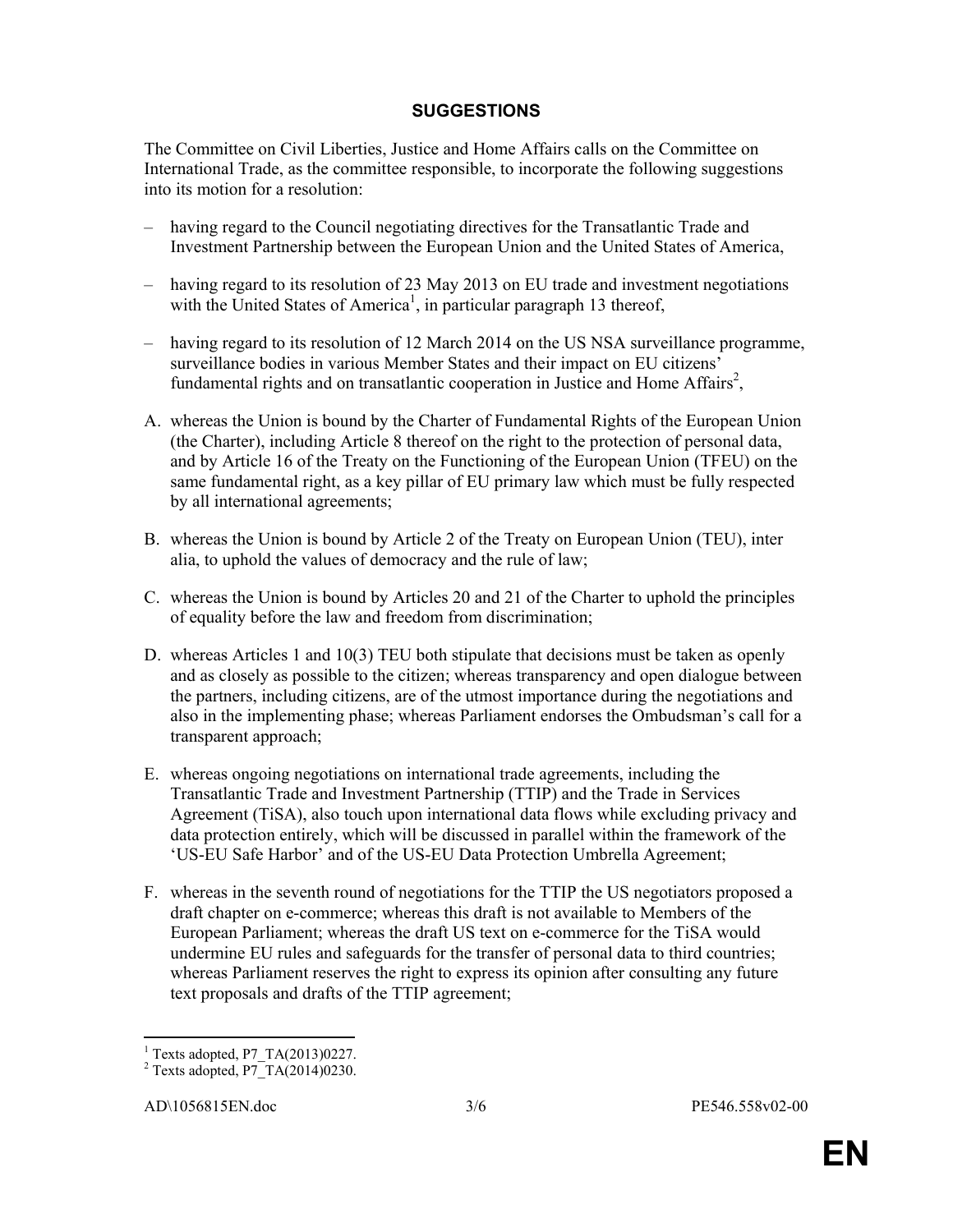## SUGGESTIONS

The Committee on Civil Liberties, Justice and Home Affairs calls on the Committee on International Trade, as the committee responsible, to incorporate the following suggestions into its motion for a resolution:

- having regard to the Council negotiating directives for the Transatlantic Trade and Investment Partnership between the European Union and the United States of America,
- having regard to its resolution of 23 May 2013 on EU trade and investment negotiations with the United States of America<sup>1</sup>, in particular paragraph 13 thereof,
- having regard to its resolution of 12 March 2014 on the US NSA surveillance programme, surveillance bodies in various Member States and their impact on EU citizens' fundamental rights and on transatlantic cooperation in Justice and Home Affairs<sup>2</sup>,
- A. whereas the Union is bound by the Charter of Fundamental Rights of the European Union (the Charter), including Article 8 thereof on the right to the protection of personal data, and by Article 16 of the Treaty on the Functioning of the European Union (TFEU) on the same fundamental right, as a key pillar of EU primary law which must be fully respected by all international agreements;
- B. whereas the Union is bound by Article 2 of the Treaty on European Union (TEU), inter alia, to uphold the values of democracy and the rule of law;
- C. whereas the Union is bound by Articles 20 and 21 of the Charter to uphold the principles of equality before the law and freedom from discrimination;
- D. whereas Articles 1 and 10(3) TEU both stipulate that decisions must be taken as openly and as closely as possible to the citizen; whereas transparency and open dialogue between the partners, including citizens, are of the utmost importance during the negotiations and also in the implementing phase; whereas Parliament endorses the Ombudsman's call for a transparent approach;
- E. whereas ongoing negotiations on international trade agreements, including the Transatlantic Trade and Investment Partnership (TTIP) and the Trade in Services Agreement (TiSA), also touch upon international data flows while excluding privacy and data protection entirely, which will be discussed in parallel within the framework of the 'US-EU Safe Harbor' and of the US-EU Data Protection Umbrella Agreement;
- F. whereas in the seventh round of negotiations for the TTIP the US negotiators proposed a draft chapter on e-commerce; whereas this draft is not available to Members of the European Parliament; whereas the draft US text on e-commerce for the TiSA would undermine EU rules and safeguards for the transfer of personal data to third countries; whereas Parliament reserves the right to express its opinion after consulting any future text proposals and drafts of the TTIP agreement;

 1 Texts adopted, P7\_TA(2013)0227.

 $2$  Texts adopted, P7 TA(2014)0230.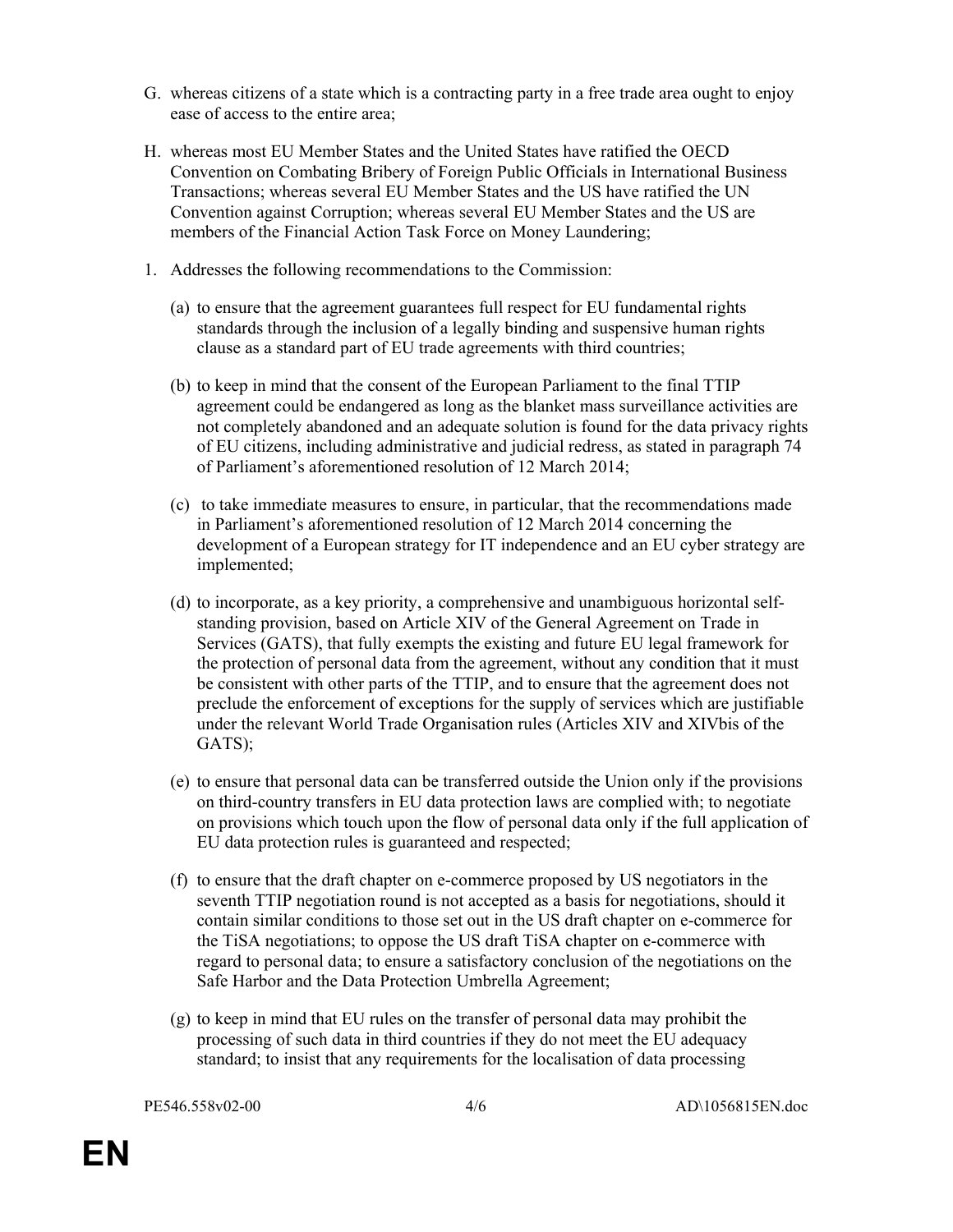- G. whereas citizens of a state which is a contracting party in a free trade area ought to enjoy ease of access to the entire area;
- H. whereas most EU Member States and the United States have ratified the OECD Convention on Combating Bribery of Foreign Public Officials in International Business Transactions; whereas several EU Member States and the US have ratified the UN Convention against Corruption; whereas several EU Member States and the US are members of the Financial Action Task Force on Money Laundering;
- 1. Addresses the following recommendations to the Commission:
	- (a) to ensure that the agreement guarantees full respect for EU fundamental rights standards through the inclusion of a legally binding and suspensive human rights clause as a standard part of EU trade agreements with third countries;
	- (b) to keep in mind that the consent of the European Parliament to the final TTIP agreement could be endangered as long as the blanket mass surveillance activities are not completely abandoned and an adequate solution is found for the data privacy rights of EU citizens, including administrative and judicial redress, as stated in paragraph 74 of Parliament's aforementioned resolution of 12 March 2014;
	- (c) to take immediate measures to ensure, in particular, that the recommendations made in Parliament's aforementioned resolution of 12 March 2014 concerning the development of a European strategy for IT independence and an EU cyber strategy are implemented;
	- (d) to incorporate, as a key priority, a comprehensive and unambiguous horizontal selfstanding provision, based on Article XIV of the General Agreement on Trade in Services (GATS), that fully exempts the existing and future EU legal framework for the protection of personal data from the agreement, without any condition that it must be consistent with other parts of the TTIP, and to ensure that the agreement does not preclude the enforcement of exceptions for the supply of services which are justifiable under the relevant World Trade Organisation rules (Articles XIV and XIVbis of the GATS);
	- (e) to ensure that personal data can be transferred outside the Union only if the provisions on third-country transfers in EU data protection laws are complied with; to negotiate on provisions which touch upon the flow of personal data only if the full application of EU data protection rules is guaranteed and respected;
	- (f) to ensure that the draft chapter on e-commerce proposed by US negotiators in the seventh TTIP negotiation round is not accepted as a basis for negotiations, should it contain similar conditions to those set out in the US draft chapter on e-commerce for the TiSA negotiations; to oppose the US draft TiSA chapter on e-commerce with regard to personal data; to ensure a satisfactory conclusion of the negotiations on the Safe Harbor and the Data Protection Umbrella Agreement;
	- (g) to keep in mind that EU rules on the transfer of personal data may prohibit the processing of such data in third countries if they do not meet the EU adequacy standard; to insist that any requirements for the localisation of data processing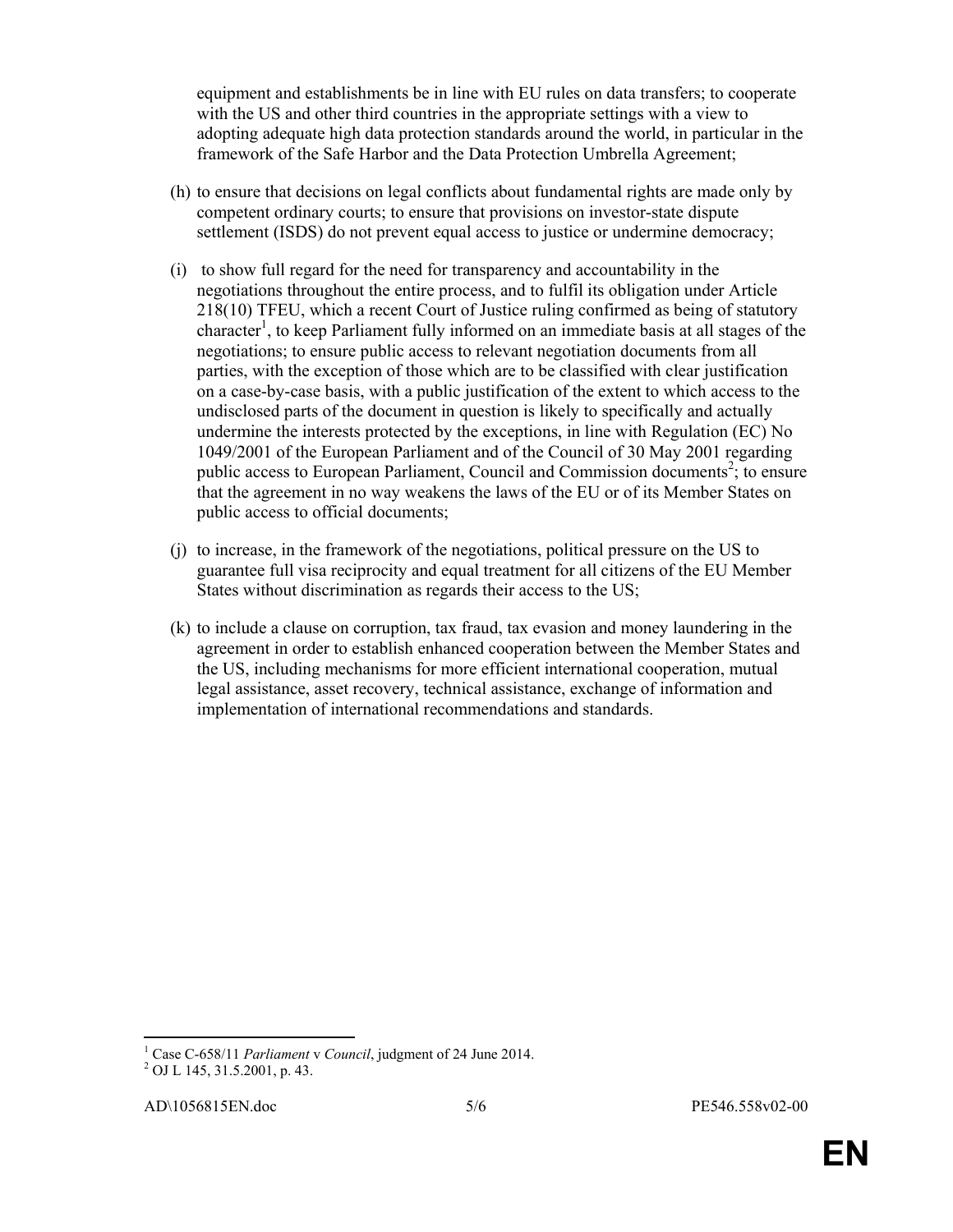equipment and establishments be in line with EU rules on data transfers; to cooperate with the US and other third countries in the appropriate settings with a view to adopting adequate high data protection standards around the world, in particular in the framework of the Safe Harbor and the Data Protection Umbrella Agreement;

- (h) to ensure that decisions on legal conflicts about fundamental rights are made only by competent ordinary courts; to ensure that provisions on investor-state dispute settlement (ISDS) do not prevent equal access to justice or undermine democracy;
- (i) to show full regard for the need for transparency and accountability in the negotiations throughout the entire process, and to fulfil its obligation under Article 218(10) TFEU, which a recent Court of Justice ruling confirmed as being of statutory character<sup>1</sup>, to keep Parliament fully informed on an immediate basis at all stages of the negotiations; to ensure public access to relevant negotiation documents from all parties, with the exception of those which are to be classified with clear justification on a case-by-case basis, with a public justification of the extent to which access to the undisclosed parts of the document in question is likely to specifically and actually undermine the interests protected by the exceptions, in line with Regulation (EC) No 1049/2001 of the European Parliament and of the Council of 30 May 2001 regarding public access to European Parliament, Council and Commission documents<sup>2</sup>; to ensure that the agreement in no way weakens the laws of the EU or of its Member States on public access to official documents;
- (j) to increase, in the framework of the negotiations, political pressure on the US to guarantee full visa reciprocity and equal treatment for all citizens of the EU Member States without discrimination as regards their access to the US;
- (k) to include a clause on corruption, tax fraud, tax evasion and money laundering in the agreement in order to establish enhanced cooperation between the Member States and the US, including mechanisms for more efficient international cooperation, mutual legal assistance, asset recovery, technical assistance, exchange of information and implementation of international recommendations and standards.

 $\overline{a}$ 

<sup>&</sup>lt;sup>1</sup> Case C-658/11 Parliament v Council, judgment of 24 June 2014.

<sup>2</sup> OJ L 145, 31.5.2001, p. 43.